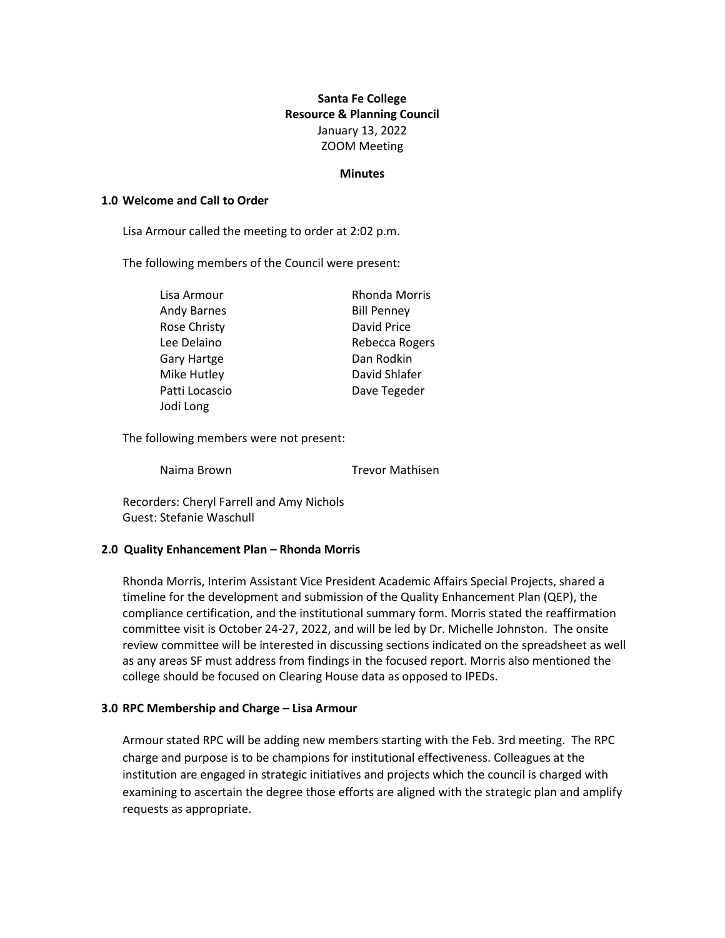# **Santa Fe College Resource & Planning Council** January 13, 2022 ZOOM Meeting

#### **Minutes**

#### **1.0 Welcome and Call to Order**

Lisa Armour called the meeting to order at 2:02 p.m.

The following members of the Council were present:

| Lisa Armour        | <b>Rhonda Morris</b> |
|--------------------|----------------------|
| <b>Andy Barnes</b> | <b>Bill Penney</b>   |
| Rose Christy       | David Price          |
| Lee Delaino        | Rebecca Rogers       |
| Gary Hartge        | Dan Rodkin           |
| Mike Hutley        | David Shlafer        |
| Patti Locascio     | Dave Tegeder         |
| Jodi Long          |                      |

The following members were not present:

Naima Brown Trevor Mathisen

Recorders: Cheryl Farrell and Amy Nichols Guest: Stefanie Waschull

#### **2.0 Quality Enhancement Plan – Rhonda Morris**

Rhonda Morris, Interim Assistant Vice President Academic Affairs Special Projects, shared a timeline for the development and submission of the Quality Enhancement Plan (QEP), the compliance certification, and the institutional summary form. Morris stated the reaffirmation committee visit is October 24-27, 2022, and will be led by Dr. Michelle Johnston. The onsite review committee will be interested in discussing sections indicated on the spreadsheet as well as any areas SF must address from findings in the focused report. Morris also mentioned the college should be focused on Clearing House data as opposed to IPEDs.

#### **3.0 RPC Membership and Charge – Lisa Armour**

Armour stated RPC will be adding new members starting with the Feb. 3rd meeting. The RPC charge and purpose is to be champions for institutional effectiveness. Colleagues at the institution are engaged in strategic initiatives and projects which the council is charged with examining to ascertain the degree those efforts are aligned with the strategic plan and amplify requests as appropriate.